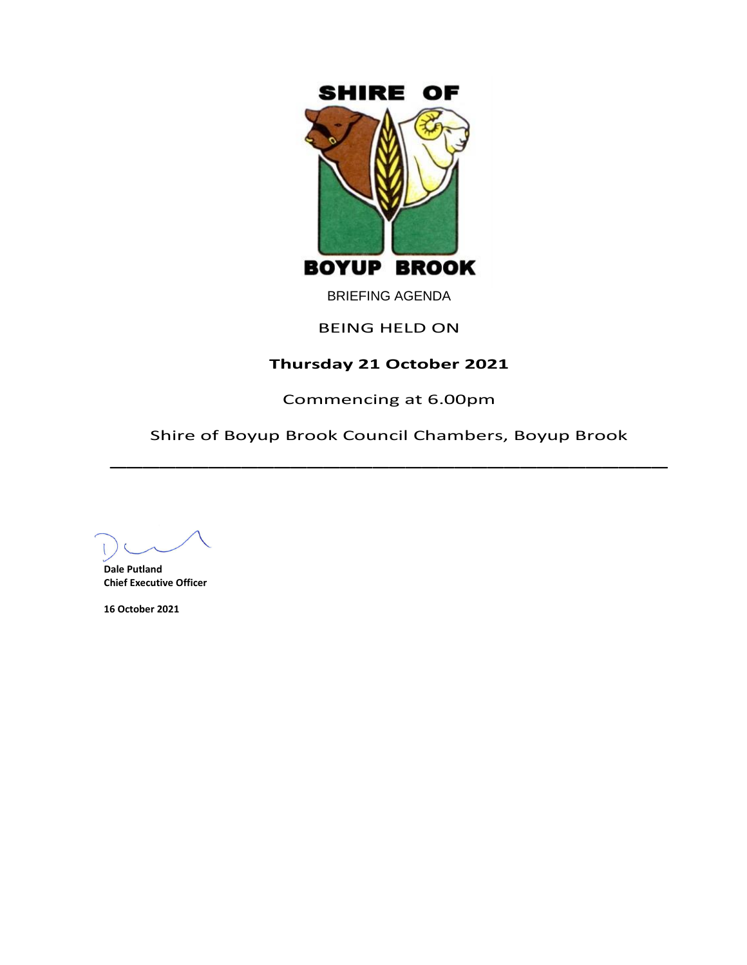

BRIEFING AGENDA

# BEING HELD ON

# **Thursday 21 October 2021**

Commencing at 6.00pm

Shire of Boyup Brook Council Chambers, Boyup Brook  $\overline{\phantom{a}}$ 

**Dale Putland Chief Executive Officer**

**16 October 2021**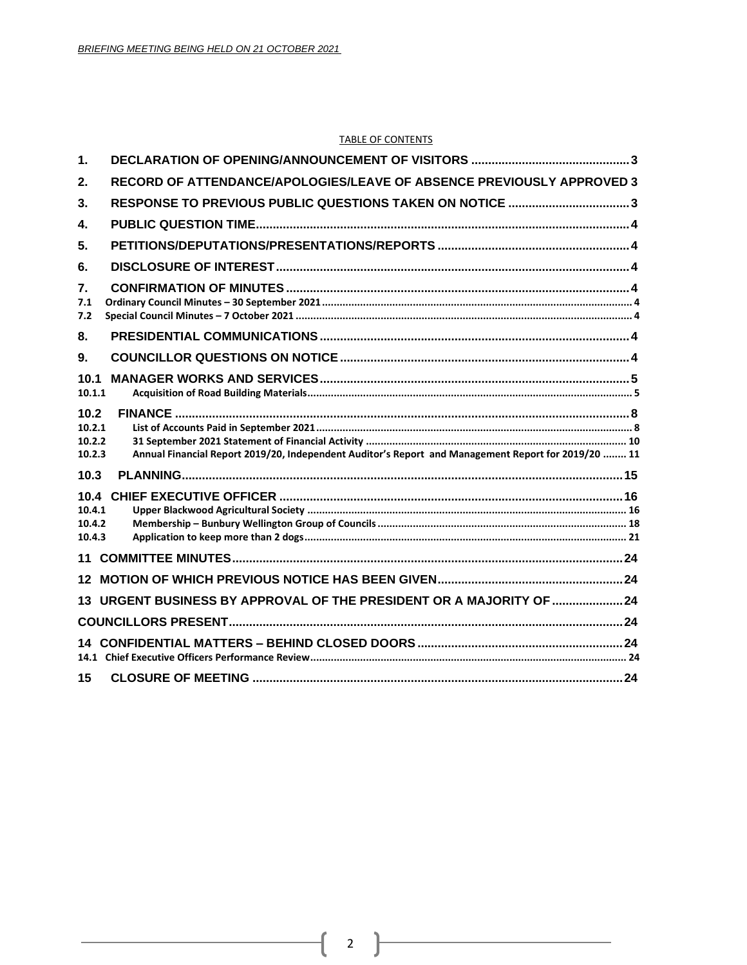#### TABLE OF CONTENTS

| 1.                                 |                                                                                                     |  |
|------------------------------------|-----------------------------------------------------------------------------------------------------|--|
| 2.                                 | RECORD OF ATTENDANCE/APOLOGIES/LEAVE OF ABSENCE PREVIOUSLY APPROVED 3                               |  |
| 3.                                 | RESPONSE TO PREVIOUS PUBLIC QUESTIONS TAKEN ON NOTICE 3                                             |  |
| $\mathbf{4}$                       |                                                                                                     |  |
| 5.                                 |                                                                                                     |  |
| 6.                                 |                                                                                                     |  |
| 7.<br>7.1<br>7.2                   |                                                                                                     |  |
| 8.                                 |                                                                                                     |  |
| 9.                                 |                                                                                                     |  |
| 10.1<br>10.1.1                     |                                                                                                     |  |
| 10.2<br>10.2.1<br>10.2.2<br>10.2.3 | Annual Financial Report 2019/20, Independent Auditor's Report and Management Report for 2019/20  11 |  |
| 10.3                               |                                                                                                     |  |
| 10.4.1<br>10.4.2<br>10.4.3         |                                                                                                     |  |
|                                    |                                                                                                     |  |
| 12 <sup>1</sup>                    |                                                                                                     |  |
|                                    | 13 URGENT BUSINESS BY APPROVAL OF THE PRESIDENT OR A MAJORITY OF  24                                |  |
|                                    |                                                                                                     |  |
|                                    |                                                                                                     |  |
| 15                                 |                                                                                                     |  |

ſ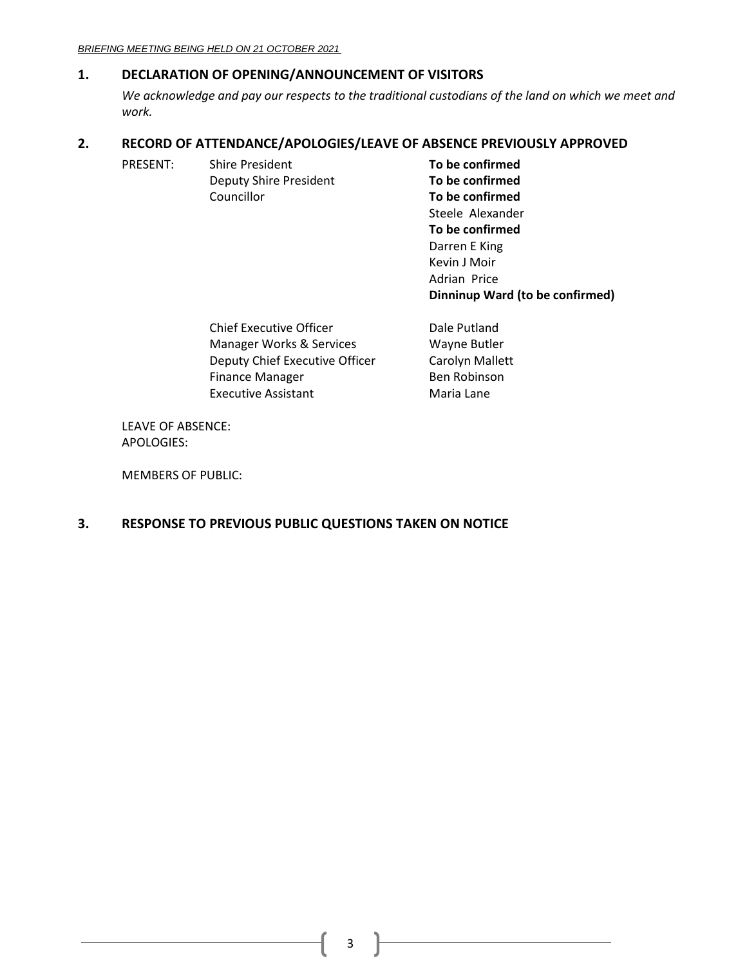# <span id="page-2-0"></span>**1. DECLARATION OF OPENING/ANNOUNCEMENT OF VISITORS**

*We acknowledge and pay our respects to the traditional custodians of the land on which we meet and work.*

> Kevin J Moir Adrian Price

**Dinninup Ward (to be confirmed)**

# <span id="page-2-1"></span>**2. RECORD OF ATTENDANCE/APOLOGIES/LEAVE OF ABSENCE PREVIOUSLY APPROVED**

| PRESENT: | <b>Shire President</b>        | To be confirmed  |
|----------|-------------------------------|------------------|
|          | <b>Deputy Shire President</b> | To be confirmed  |
|          | Councillor                    | To be confirmed  |
|          |                               | Steele Alexander |
|          |                               | To be confirmed  |
|          |                               | Darren E King    |

| <b>Chief Executive Officer</b> | Dale Putland    |
|--------------------------------|-----------------|
| Manager Works & Services       | Wayne Butler    |
| Deputy Chief Executive Officer | Carolyn Mallett |
| <b>Finance Manager</b>         | Ben Robinson    |
| <b>Executive Assistant</b>     | Maria Lane      |

LEAVE OF ABSENCE: APOLOGIES:

MEMBERS OF PUBLIC:

# <span id="page-2-2"></span>**3. RESPONSE TO PREVIOUS PUBLIC QUESTIONS TAKEN ON NOTICE**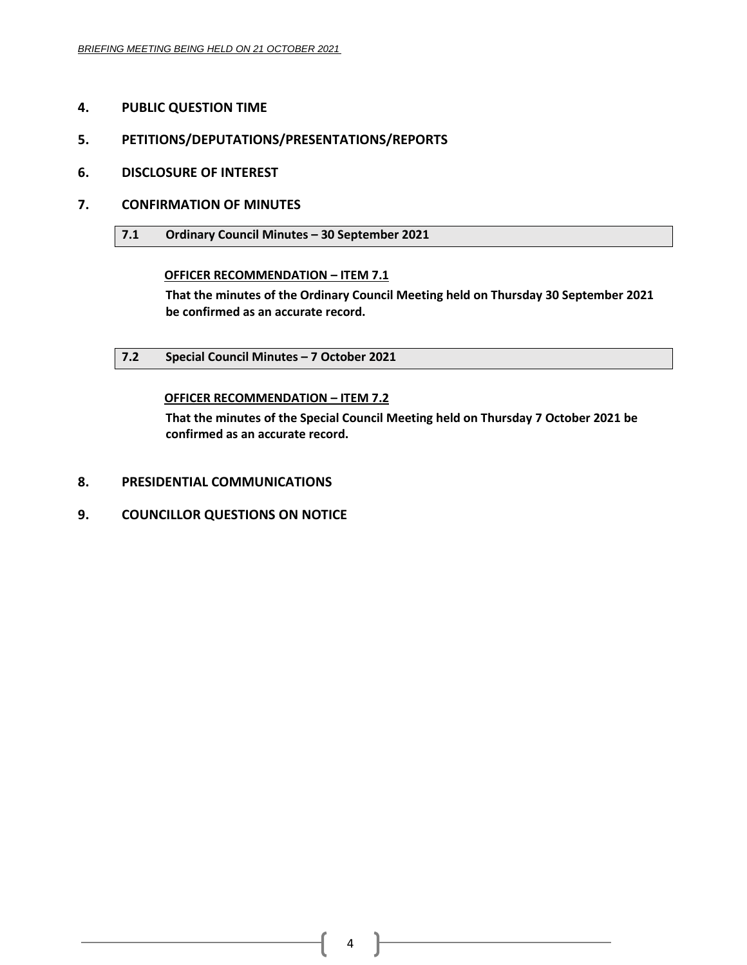- <span id="page-3-0"></span>**4. PUBLIC QUESTION TIME**
- <span id="page-3-1"></span>**5. PETITIONS/DEPUTATIONS/PRESENTATIONS/REPORTS**
- <span id="page-3-2"></span>**6. DISCLOSURE OF INTEREST**
- <span id="page-3-4"></span><span id="page-3-3"></span>**7. CONFIRMATION OF MINUTES**
	- **7.1 Ordinary Council Minutes – 30 September 2021**

# **OFFICER RECOMMENDATION – ITEM 7.1**

**That the minutes of the Ordinary Council Meeting held on Thursday 30 September 2021 be confirmed as an accurate record.**

<span id="page-3-5"></span>**7.2 Special Council Minutes – 7 October 2021**

# **OFFICER RECOMMENDATION – ITEM 7.2**

**That the minutes of the Special Council Meeting held on Thursday 7 October 2021 be confirmed as an accurate record.**

- <span id="page-3-6"></span>**8. PRESIDENTIAL COMMUNICATIONS**
- <span id="page-3-7"></span>**9. COUNCILLOR QUESTIONS ON NOTICE**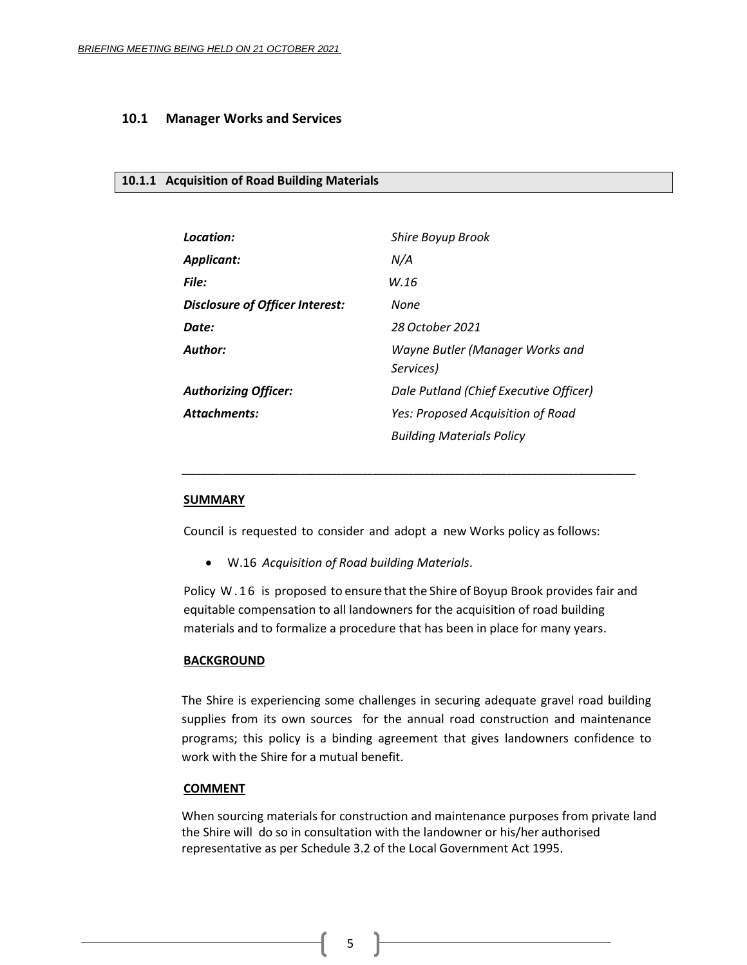## <span id="page-4-0"></span>**10.1 Manager Works and Services**

## <span id="page-4-1"></span>**10.1.1 Acquisition of Road Building Materials**

| Location:                              | <b>Shire Boyup Brook</b>                     |
|----------------------------------------|----------------------------------------------|
| <b>Applicant:</b>                      | N/A                                          |
| File:                                  | W.16                                         |
| <b>Disclosure of Officer Interest:</b> | None                                         |
| Date:                                  | 28 October 2021                              |
| Author:                                | Wayne Butler (Manager Works and<br>Services) |
| <b>Authorizing Officer:</b>            | Dale Putland (Chief Executive Officer)       |
| <b>Attachments:</b>                    | Yes: Proposed Acquisition of Road            |
|                                        | <b>Building Materials Policy</b>             |

## **SUMMARY**

Council is requested to consider and adopt a new Works policy as follows:

\_\_\_\_\_\_\_\_\_\_\_\_\_\_\_\_\_\_\_\_\_\_\_\_\_\_\_\_\_\_\_\_\_\_\_\_\_\_\_\_\_\_\_\_\_\_\_\_\_\_\_\_\_\_\_\_\_\_\_\_\_\_\_\_\_\_\_\_\_\_\_\_\_\_\_\_\_\_\_\_\_\_\_\_\_\_\_\_

• W.16 *Acquisition of Road building Materials*.

Policy W . 1 6 is proposed to ensure that the Shire of Boyup Brook provides fair and equitable compensation to all landowners for the acquisition of road building materials and to formalize a procedure that has been in place for many years.

#### **BACKGROUND**

The Shire is experiencing some challenges in securing adequate gravel road building supplies from its own sources for the annual road construction and maintenance programs; this policy is a binding agreement that gives landowners confidence to work with the Shire for a mutual benefit.

#### **COMMENT**

When sourcing materials for construction and maintenance purposes from private land the Shire will do so in consultation with the landowner or his/her authorised representative as per Schedule 3.2 of the Local Government Act 1995.

5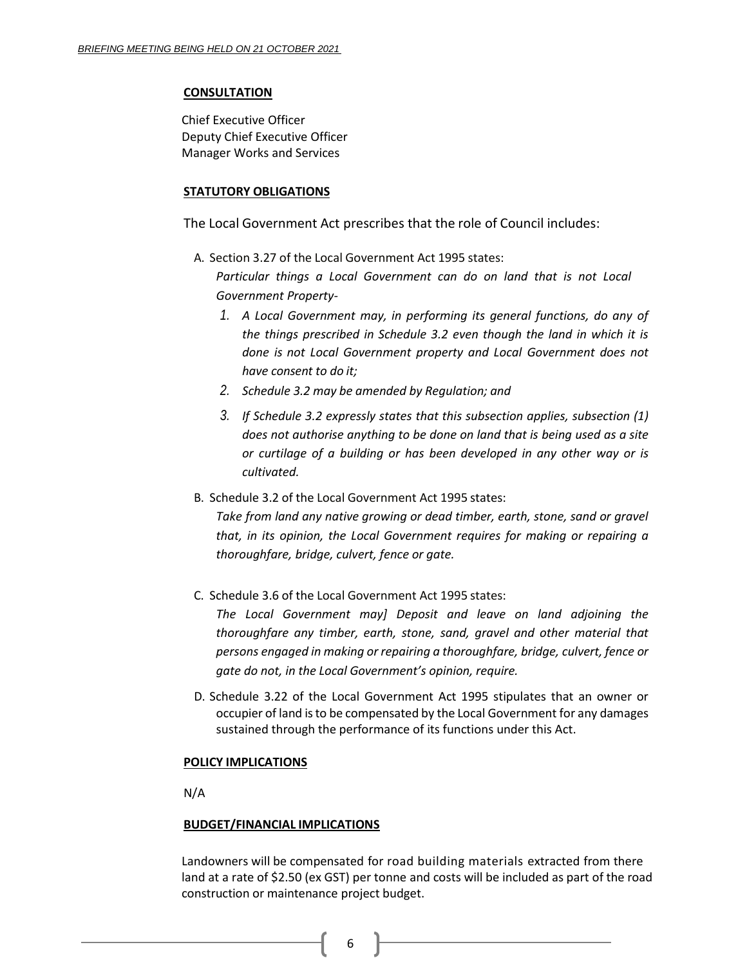#### **CONSULTATION**

Chief Executive Officer Deputy Chief Executive Officer Manager Works and Services

#### **STATUTORY OBLIGATIONS**

The Local Government Act prescribes that the role of Council includes:

A. Section 3.27 of the Local Government Act 1995 states:

*Particular things a Local Government can do on land that is not Local Government Property-*

- *1. A Local Government may, in performing its general functions, do any of the things prescribed in Schedule 3.2 even though the land in which it is done is not Local Government property and Local Government does not have consent to do it;*
- *2. Schedule 3.2 may be amended by Regulation; and*
- *3. If Schedule 3.2 expressly states that this subsection applies, subsection (1) does not authorise anything to be done on land that is being used as a site or curtilage of a building or has been developed in any other way or is cultivated.*
- B. Schedule 3.2 of the Local Government Act 1995 states:

*Take from land any native growing or dead timber, earth, stone, sand or gravel that, in its opinion, the Local Government requires for making or repairing a thoroughfare, bridge, culvert, fence or gate.*

C. Schedule 3.6 of the Local Government Act 1995 states:

*The Local Government may] Deposit and leave on land adjoining the thoroughfare any timber, earth, stone, sand, gravel and other material that persons engaged in making or repairing a thoroughfare, bridge, culvert, fence or gate do not, in the Local Government's opinion, require.*

D. Schedule 3.22 of the Local Government Act 1995 stipulates that an owner or occupier of land isto be compensated by the Local Government for any damages sustained through the performance of its functions under this Act.

## **POLICY IMPLICATIONS**

N/A

## **BUDGET/FINANCIAL IMPLICATIONS**

Landowners will be compensated for road building materials extracted from there land at a rate of \$2.50 (ex GST) per tonne and costs will be included as part of the road construction or maintenance project budget.

6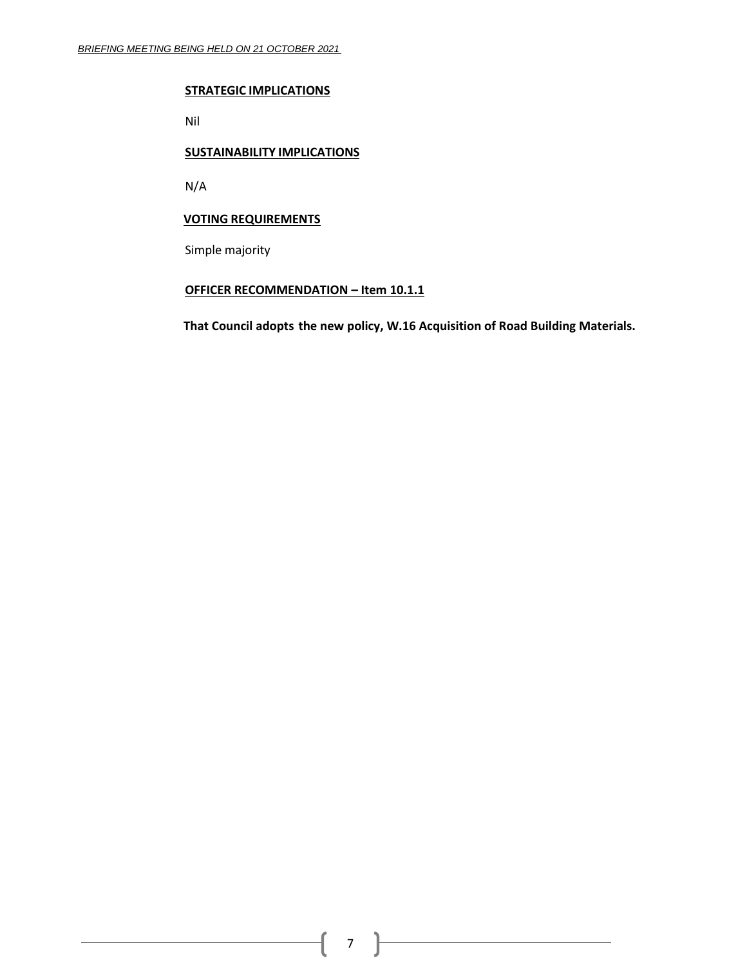#### **STRATEGIC IMPLICATIONS**

Nil

#### **SUSTAINABILITY IMPLICATIONS**

N/A

# **VOTING REQUIREMENTS**

Simple majority

# **OFFICER RECOMMENDATION – Item 10.1.1**

**That Council adopts the new policy, W.16 Acquisition of Road Building Materials.**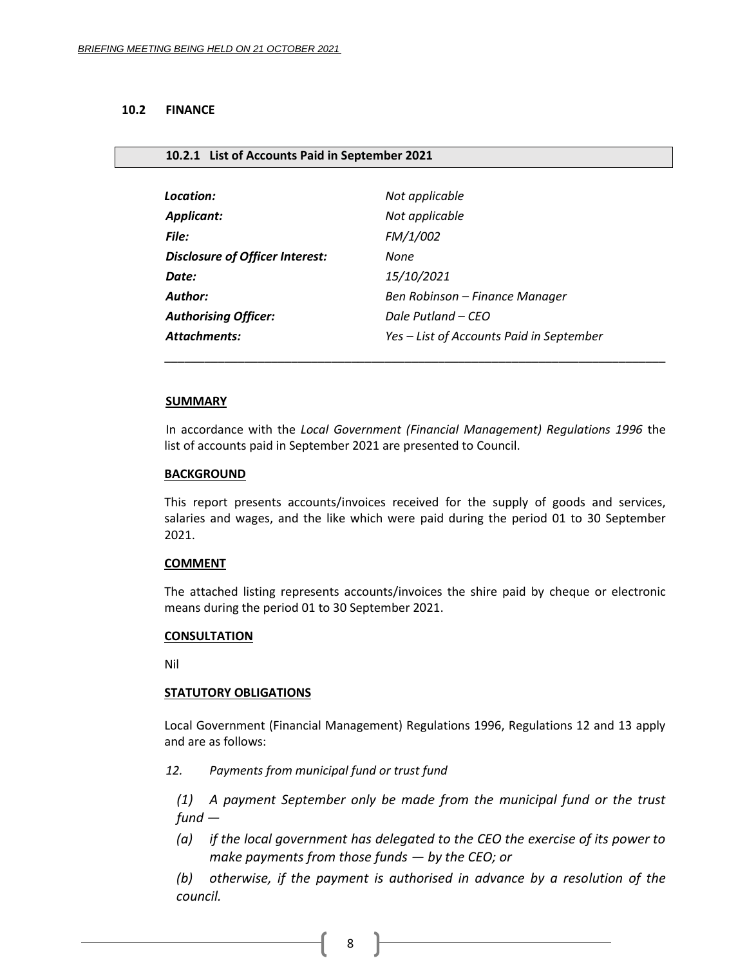#### <span id="page-7-0"></span>**10.2 FINANCE**

#### <span id="page-7-1"></span>**10.2.1 List of Accounts Paid in September 2021**

| Location:                              | Not applicable                           |  |  |
|----------------------------------------|------------------------------------------|--|--|
| <b>Applicant:</b>                      | Not applicable                           |  |  |
| <b>File:</b>                           | FM/1/002                                 |  |  |
| <b>Disclosure of Officer Interest:</b> | None                                     |  |  |
| Date:                                  | 15/10/2021                               |  |  |
| Author:                                | Ben Robinson – Finance Manager           |  |  |
| <b>Authorising Officer:</b>            | Dale Putland – CEO                       |  |  |
| <b>Attachments:</b>                    | Yes - List of Accounts Paid in September |  |  |

#### **SUMMARY**

In accordance with the *Local Government (Financial Management) Regulations 1996* the list of accounts paid in September 2021 are presented to Council.

\_\_\_\_\_\_\_\_\_\_\_\_\_\_\_\_\_\_\_\_\_\_\_\_\_\_\_\_\_\_\_\_\_\_\_\_\_\_\_\_\_\_\_\_\_\_\_\_\_\_\_\_\_\_\_\_\_\_\_\_\_\_\_\_\_\_\_\_\_\_\_\_\_\_\_

#### **BACKGROUND**

This report presents accounts/invoices received for the supply of goods and services, salaries and wages, and the like which were paid during the period 01 to 30 September 2021.

## **COMMENT**

The attached listing represents accounts/invoices the shire paid by cheque or electronic means during the period 01 to 30 September 2021.

#### **CONSULTATION**

Nil

## **STATUTORY OBLIGATIONS**

Local Government (Financial Management) Regulations 1996, Regulations 12 and 13 apply and are as follows:

*12. Payments from municipal fund or trust fund*

*(1) A payment September only be made from the municipal fund or the trust fund —*

*(a) if the local government has delegated to the CEO the exercise of its power to make payments from those funds — by the CEO; or*

*(b) otherwise, if the payment is authorised in advance by a resolution of the council.*

8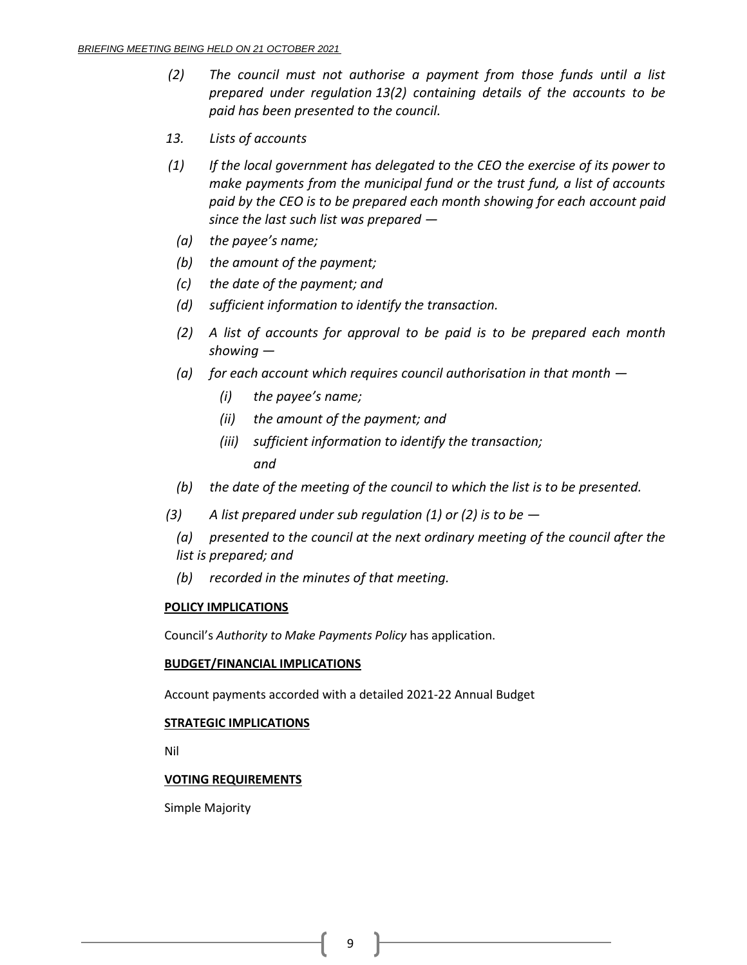- *(2) The council must not authorise a payment from those funds until a list prepared under regulation 13(2) containing details of the accounts to be paid has been presented to the council.*
- *13. Lists of accounts*
- *(1) If the local government has delegated to the CEO the exercise of its power to make payments from the municipal fund or the trust fund, a list of accounts paid by the CEO is to be prepared each month showing for each account paid since the last such list was prepared —*
	- *(a) the payee's name;*
	- *(b) the amount of the payment;*
	- *(c) the date of the payment; and*
	- *(d) sufficient information to identify the transaction.*
	- *(2) A list of accounts for approval to be paid is to be prepared each month showing —*
	- *(a) for each account which requires council authorisation in that month —*
		- *(i) the payee's name;*
		- *(ii) the amount of the payment; and*
		- *(iii) sufficient information to identify the transaction; and*
	- *(b) the date of the meeting of the council to which the list is to be presented.*
- *(3) A list prepared under sub regulation (1) or (2) is to be —*
	- *(a) presented to the council at the next ordinary meeting of the council after the list is prepared; and*
	- *(b) recorded in the minutes of that meeting.*

## **POLICY IMPLICATIONS**

Council's *Authority to Make Payments Policy* has application.

## **BUDGET/FINANCIAL IMPLICATIONS**

Account payments accorded with a detailed 2021-22 Annual Budget

## **STRATEGIC IMPLICATIONS**

Nil

# **VOTING REQUIREMENTS**

Simple Majority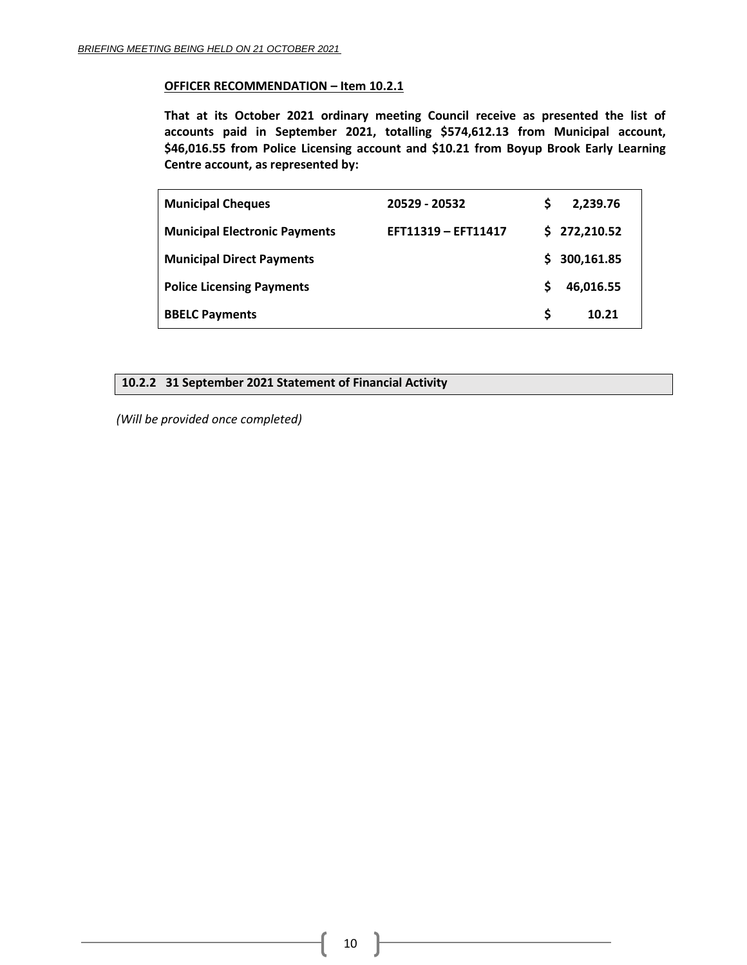# **OFFICER RECOMMENDATION – Item 10.2.1**

**That at its October 2021 ordinary meeting Council receive as presented the list of accounts paid in September 2021, totalling \$574,612.13 from Municipal account, \$46,016.55 from Police Licensing account and \$10.21 from Boyup Brook Early Learning Centre account, as represented by:**

| <b>Municipal Cheques</b>             | 20529 - 20532       |    | 2,239.76     |
|--------------------------------------|---------------------|----|--------------|
| <b>Municipal Electronic Payments</b> | EFT11319 - EFT11417 |    | \$272,210.52 |
| <b>Municipal Direct Payments</b>     |                     | S. | 300,161.85   |
| <b>Police Licensing Payments</b>     |                     | S  | 46,016.55    |
| <b>BBELC Payments</b>                |                     | S  | 10.21        |

# <span id="page-9-0"></span>**10.2.2 31 September 2021 Statement of Financial Activity**

*(Will be provided once completed)*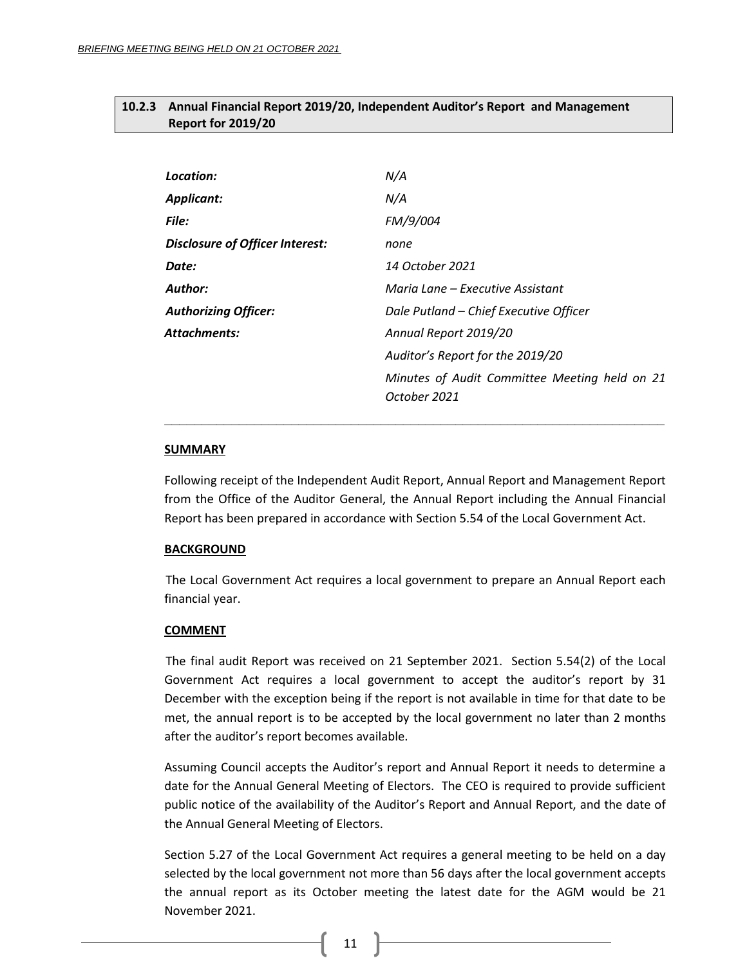# <span id="page-10-0"></span>**10.2.3 Annual Financial Report 2019/20, Independent Auditor's Report and Management Report for 2019/20**

| Location:                              | N/A                                                           |
|----------------------------------------|---------------------------------------------------------------|
| <b>Applicant:</b>                      | N/A                                                           |
| File:                                  | FM/9/004                                                      |
| <b>Disclosure of Officer Interest:</b> | none                                                          |
| Date:                                  | 14 October 2021                                               |
| <b>Author:</b>                         | Maria Lane – Executive Assistant                              |
| <b>Authorizing Officer:</b>            | Dale Putland - Chief Executive Officer                        |
| Attachments:                           | Annual Report 2019/20                                         |
|                                        | Auditor's Report for the 2019/20                              |
|                                        | Minutes of Audit Committee Meeting held on 21<br>October 2021 |

#### **SUMMARY**

Following receipt of the Independent Audit Report, Annual Report and Management Report from the Office of the Auditor General, the Annual Report including the Annual Financial Report has been prepared in accordance with Section 5.54 of the Local Government Act.

**\_\_\_\_\_\_\_\_\_\_\_\_\_\_\_\_\_\_\_\_\_\_\_\_\_\_\_\_\_\_\_\_\_\_\_\_\_\_\_\_\_\_\_\_\_\_\_\_\_\_\_\_\_\_\_\_\_\_\_\_\_\_\_\_\_\_\_**

#### **BACKGROUND**

The Local Government Act requires a local government to prepare an Annual Report each financial year.

#### **COMMENT**

The final audit Report was received on 21 September 2021. Section 5.54(2) of the Local Government Act requires a local government to accept the auditor's report by 31 December with the exception being if the report is not available in time for that date to be met, the annual report is to be accepted by the local government no later than 2 months after the auditor's report becomes available.

Assuming Council accepts the Auditor's report and Annual Report it needs to determine a date for the Annual General Meeting of Electors. The CEO is required to provide sufficient public notice of the availability of the Auditor's Report and Annual Report, and the date of the Annual General Meeting of Electors.

Section 5.27 of the Local Government Act requires a general meeting to be held on a day selected by the local government not more than 56 days after the local government accepts the annual report as its October meeting the latest date for the AGM would be 21 November 2021.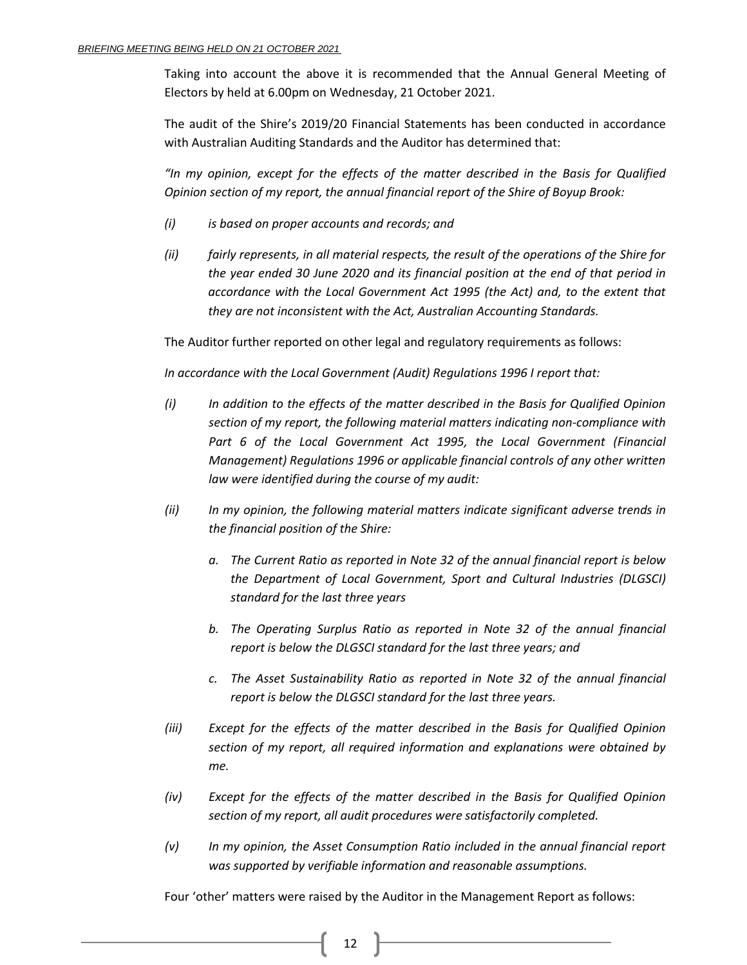Taking into account the above it is recommended that the Annual General Meeting of Electors by held at 6.00pm on Wednesday, 21 October 2021.

The audit of the Shire's 2019/20 Financial Statements has been conducted in accordance with Australian Auditing Standards and the Auditor has determined that:

*"In my opinion, except for the effects of the matter described in the Basis for Qualified Opinion section of my report, the annual financial report of the Shire of Boyup Brook:*

- *(i) is based on proper accounts and records; and*
- *(ii) fairly represents, in all material respects, the result of the operations of the Shire for the year ended 30 June 2020 and its financial position at the end of that period in accordance with the Local Government Act 1995 (the Act) and, to the extent that they are not inconsistent with the Act, Australian Accounting Standards.*

The Auditor further reported on other legal and regulatory requirements as follows:

*In accordance with the Local Government (Audit) Regulations 1996 I report that:*

- *(i) In addition to the effects of the matter described in the Basis for Qualified Opinion section of my report, the following material matters indicating non-compliance with*  Part 6 of the Local Government Act 1995, the Local Government (Financial *Management) Regulations 1996 or applicable financial controls of any other written law were identified during the course of my audit:*
- *(ii) In my opinion, the following material matters indicate significant adverse trends in the financial position of the Shire:*
	- *a. The Current Ratio as reported in Note 32 of the annual financial report is below the Department of Local Government, Sport and Cultural Industries (DLGSCI) standard for the last three years*
	- *b. The Operating Surplus Ratio as reported in Note 32 of the annual financial report is below the DLGSCI standard for the last three years; and*
	- *c. The Asset Sustainability Ratio as reported in Note 32 of the annual financial report is below the DLGSCI standard for the last three years.*
- *(iii) Except for the effects of the matter described in the Basis for Qualified Opinion section of my report, all required information and explanations were obtained by me.*
- *(iv) Except for the effects of the matter described in the Basis for Qualified Opinion section of my report, all audit procedures were satisfactorily completed.*
- *(v) In my opinion, the Asset Consumption Ratio included in the annual financial report was supported by verifiable information and reasonable assumptions.*

Four 'other' matters were raised by the Auditor in the Management Report as follows: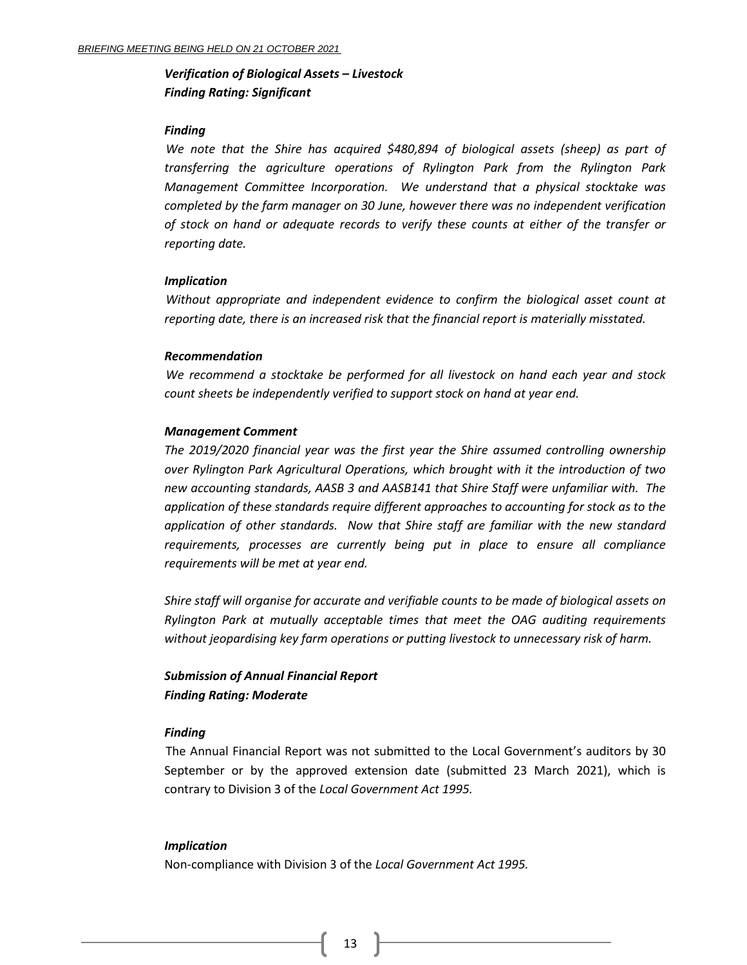# *Verification of Biological Assets – Livestock Finding Rating: Significant*

#### *Finding*

*We note that the Shire has acquired \$480,894 of biological assets (sheep) as part of transferring the agriculture operations of Rylington Park from the Rylington Park Management Committee Incorporation. We understand that a physical stocktake was completed by the farm manager on 30 June, however there was no independent verification of stock on hand or adequate records to verify these counts at either of the transfer or reporting date.*

#### *Implication*

*Without appropriate and independent evidence to confirm the biological asset count at reporting date, there is an increased risk that the financial report is materially misstated.*

#### *Recommendation*

*We recommend a stocktake be performed for all livestock on hand each year and stock count sheets be independently verified to support stock on hand at year end.*

#### *Management Comment*

*The 2019/2020 financial year was the first year the Shire assumed controlling ownership over Rylington Park Agricultural Operations, which brought with it the introduction of two new accounting standards, AASB 3 and AASB141 that Shire Staff were unfamiliar with. The application of these standards require different approaches to accounting for stock as to the application of other standards. Now that Shire staff are familiar with the new standard requirements, processes are currently being put in place to ensure all compliance requirements will be met at year end.*

*Shire staff will organise for accurate and verifiable counts to be made of biological assets on Rylington Park at mutually acceptable times that meet the OAG auditing requirements without jeopardising key farm operations or putting livestock to unnecessary risk of harm.*

# *Submission of Annual Financial Report Finding Rating: Moderate*

#### *Finding*

The Annual Financial Report was not submitted to the Local Government's auditors by 30 September or by the approved extension date (submitted 23 March 2021), which is contrary to Division 3 of the *Local Government Act 1995.*

#### *Implication*

Non-compliance with Division 3 of the *Local Government Act 1995.*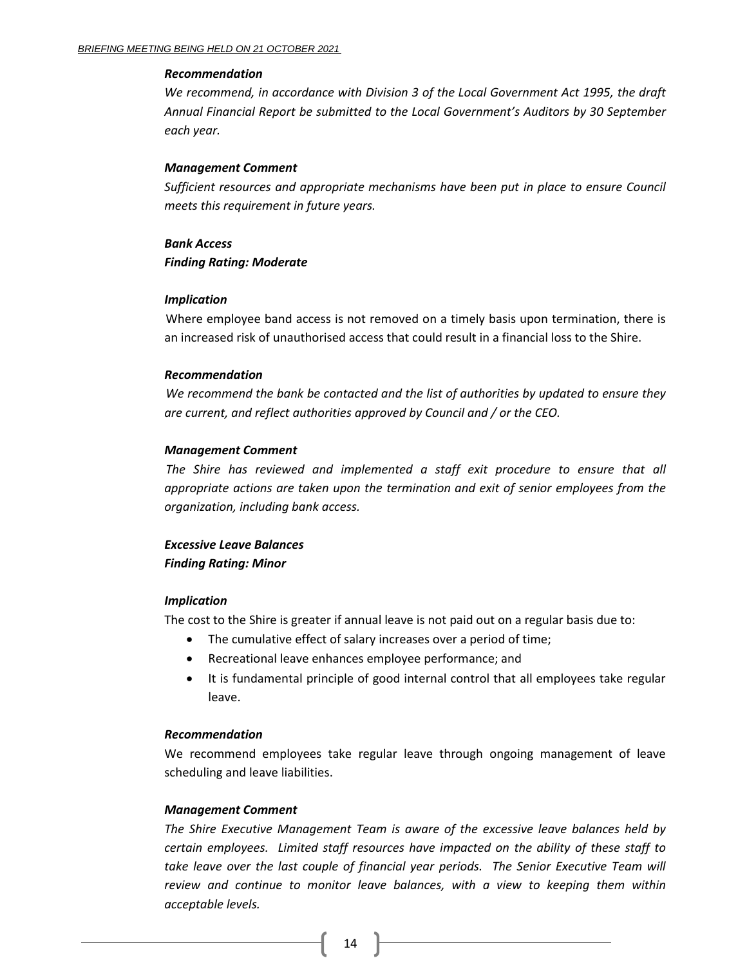#### *Recommendation*

*We recommend, in accordance with Division 3 of the Local Government Act 1995, the draft Annual Financial Report be submitted to the Local Government's Auditors by 30 September each year.*

## *Management Comment*

*Sufficient resources and appropriate mechanisms have been put in place to ensure Council meets this requirement in future years.*

# *Bank Access Finding Rating: Moderate*

# *Implication*

Where employee band access is not removed on a timely basis upon termination, there is an increased risk of unauthorised access that could result in a financial loss to the Shire.

# *Recommendation*

*We recommend the bank be contacted and the list of authorities by updated to ensure they are current, and reflect authorities approved by Council and / or the CEO.*

# *Management Comment*

*The Shire has reviewed and implemented a staff exit procedure to ensure that all appropriate actions are taken upon the termination and exit of senior employees from the organization, including bank access.*

# *Excessive Leave Balances Finding Rating: Minor*

# *Implication*

The cost to the Shire is greater if annual leave is not paid out on a regular basis due to:

- The cumulative effect of salary increases over a period of time;
- Recreational leave enhances employee performance; and
- It is fundamental principle of good internal control that all employees take regular leave.

## *Recommendation*

We recommend employees take regular leave through ongoing management of leave scheduling and leave liabilities.

# *Management Comment*

*The Shire Executive Management Team is aware of the excessive leave balances held by certain employees. Limited staff resources have impacted on the ability of these staff to*  take leave over the last couple of financial year periods. The Senior Executive Team will *review and continue to monitor leave balances, with a view to keeping them within acceptable levels.*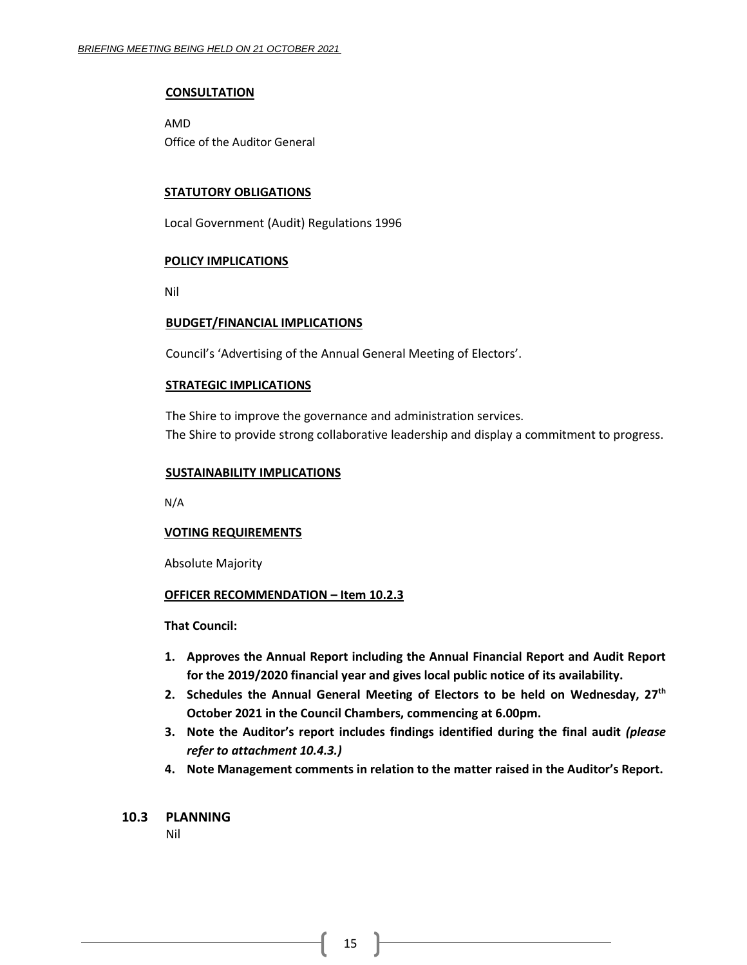#### **CONSULTATION**

AMD Office of the Auditor General

#### **STATUTORY OBLIGATIONS**

Local Government (Audit) Regulations 1996

#### **POLICY IMPLICATIONS**

Nil

#### **BUDGET/FINANCIAL IMPLICATIONS**

Council's 'Advertising of the Annual General Meeting of Electors'.

#### **STRATEGIC IMPLICATIONS**

The Shire to improve the governance and administration services. The Shire to provide strong collaborative leadership and display a commitment to progress.

#### **SUSTAINABILITY IMPLICATIONS**

N/A

## **VOTING REQUIREMENTS**

Absolute Majority

#### **OFFICER RECOMMENDATION – Item 10.2.3**

**That Council:**

- **1. Approves the Annual Report including the Annual Financial Report and Audit Report for the 2019/2020 financial year and gives local public notice of its availability.**
- **2. Schedules the Annual General Meeting of Electors to be held on Wednesday, 27th October 2021 in the Council Chambers, commencing at 6.00pm.**
- **3. Note the Auditor's report includes findings identified during the final audit** *(please refer to attachment 10.4.3.)*
- **4. Note Management comments in relation to the matter raised in the Auditor's Report.**

## <span id="page-14-0"></span>**10.3 PLANNING**

Nil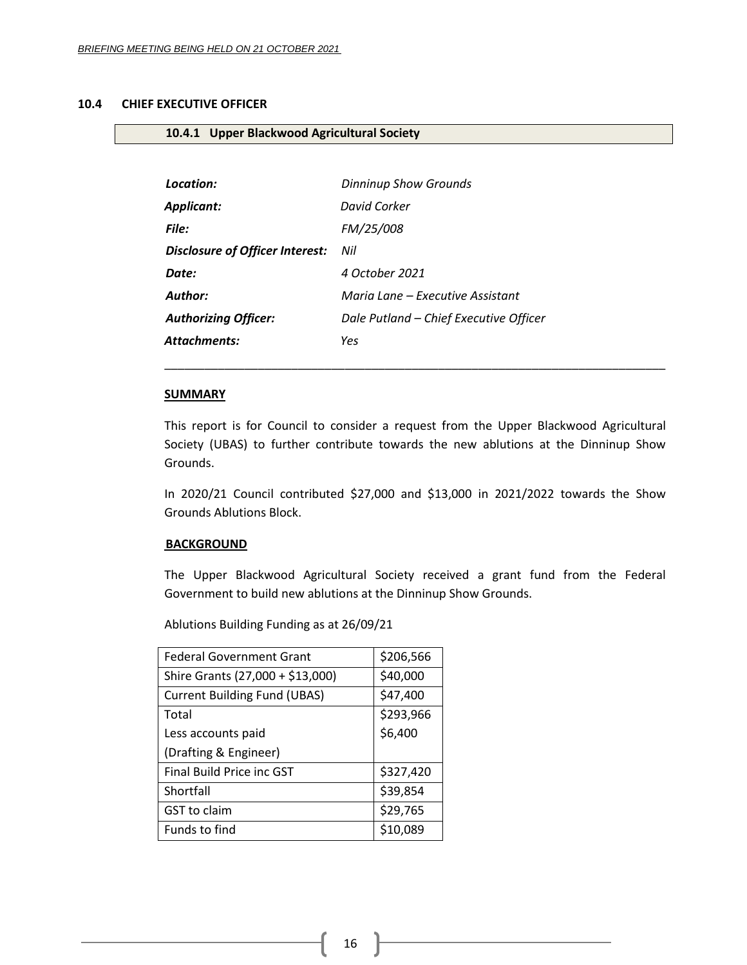## <span id="page-15-0"></span>**10.4 CHIEF EXECUTIVE OFFICER**

# <span id="page-15-1"></span>**10.4.1 Upper Blackwood Agricultural Society**

| Location:                              | <b>Dinninup Show Grounds</b>           |  |  |  |
|----------------------------------------|----------------------------------------|--|--|--|
| Applicant:                             | David Corker                           |  |  |  |
| File:                                  | FM/25/008                              |  |  |  |
| <b>Disclosure of Officer Interest:</b> | Nil                                    |  |  |  |
| Date:                                  | 4 October 2021                         |  |  |  |
| <b>Author:</b>                         | Maria Lane – Executive Assistant       |  |  |  |
| <b>Authorizing Officer:</b>            | Dale Putland - Chief Executive Officer |  |  |  |
| Attachments:                           | Yes                                    |  |  |  |

#### **SUMMARY**

This report is for Council to consider a request from the Upper Blackwood Agricultural Society (UBAS) to further contribute towards the new ablutions at the Dinninup Show Grounds.

\_\_\_\_\_\_\_\_\_\_\_\_\_\_\_\_\_\_\_\_\_\_\_\_\_\_\_\_\_\_\_\_\_\_\_\_\_\_\_\_\_\_\_\_\_\_\_\_\_\_\_\_\_\_\_\_\_\_\_\_\_\_\_\_\_\_\_\_\_\_\_\_\_\_\_

In 2020/21 Council contributed \$27,000 and \$13,000 in 2021/2022 towards the Show Grounds Ablutions Block.

#### **BACKGROUND**

The Upper Blackwood Agricultural Society received a grant fund from the Federal Government to build new ablutions at the Dinninup Show Grounds.

Ablutions Building Funding as at 26/09/21

| <b>Federal Government Grant</b>     | \$206,566 |
|-------------------------------------|-----------|
| Shire Grants (27,000 + \$13,000)    | \$40,000  |
| <b>Current Building Fund (UBAS)</b> | \$47,400  |
| Total                               | \$293,966 |
| Less accounts paid                  | \$6,400   |
| (Drafting & Engineer)               |           |
| Final Build Price inc GST           | \$327,420 |
| Shortfall                           | \$39,854  |
| GST to claim                        | \$29,765  |
| Funds to find                       | \$10,089  |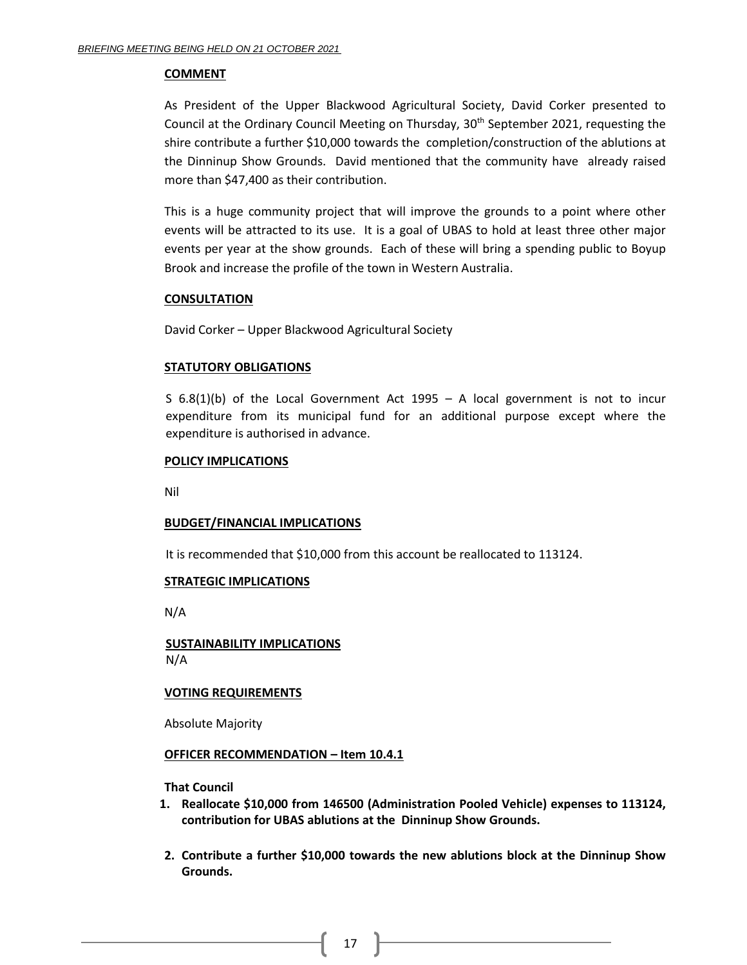#### **COMMENT**

As President of the Upper Blackwood Agricultural Society, David Corker presented to Council at the Ordinary Council Meeting on Thursday,  $30<sup>th</sup>$  September 2021, requesting the shire contribute a further \$10,000 towards the completion/construction of the ablutions at the Dinninup Show Grounds. David mentioned that the community have already raised more than \$47,400 as their contribution.

This is a huge community project that will improve the grounds to a point where other events will be attracted to its use. It is a goal of UBAS to hold at least three other major events per year at the show grounds. Each of these will bring a spending public to Boyup Brook and increase the profile of the town in Western Australia.

## **CONSULTATION**

David Corker – Upper Blackwood Agricultural Society

## **STATUTORY OBLIGATIONS**

S 6.8(1)(b) of the Local Government Act 1995 – A local government is not to incur expenditure from its municipal fund for an additional purpose except where the expenditure is authorised in advance.

## **POLICY IMPLICATIONS**

Nil

## **BUDGET/FINANCIAL IMPLICATIONS**

It is recommended that \$10,000 from this account be reallocated to 113124.

## **STRATEGIC IMPLICATIONS**

N/A

**SUSTAINABILITY IMPLICATIONS** N/A

## **VOTING REQUIREMENTS**

Absolute Majority

## **OFFICER RECOMMENDATION – Item 10.4.1**

**That Council**

- **1. Reallocate \$10,000 from 146500 (Administration Pooled Vehicle) expenses to 113124, contribution for UBAS ablutions at the Dinninup Show Grounds.**
- **2. Contribute a further \$10,000 towards the new ablutions block at the Dinninup Show Grounds.**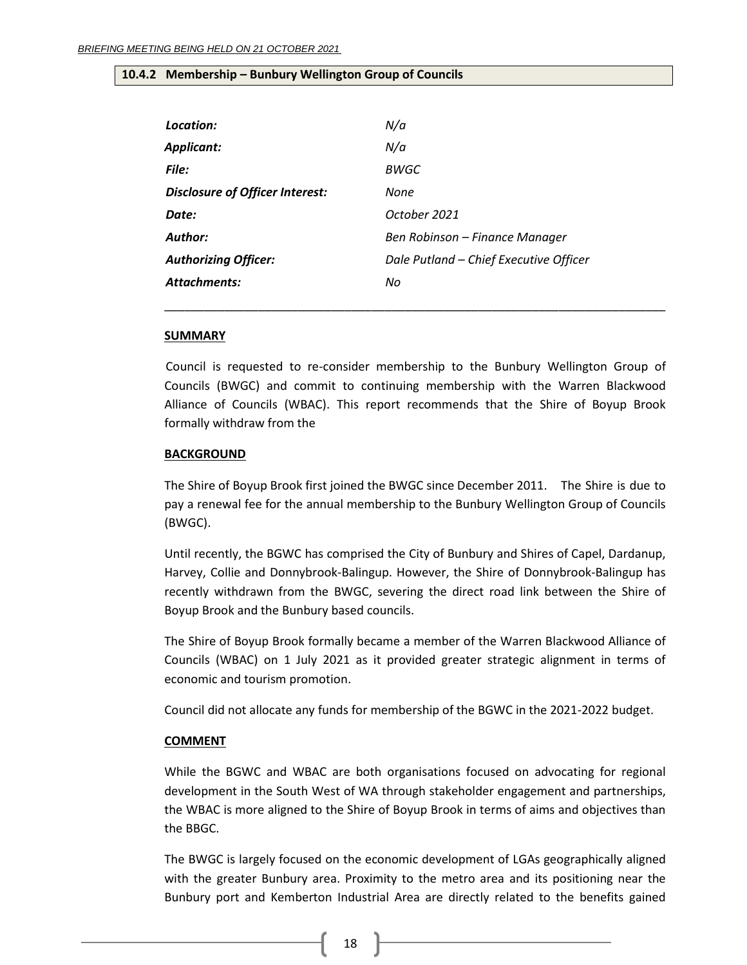#### <span id="page-17-0"></span>**10.4.2 Membership – Bunbury Wellington Group of Councils**

| Location:                       | N/a                                    |
|---------------------------------|----------------------------------------|
| <b>Applicant:</b>               | N/a                                    |
| File:                           | BWGC                                   |
| Disclosure of Officer Interest: | None                                   |
| Date:                           | October 2021                           |
| Author:                         | Ben Robinson - Finance Manager         |
| <b>Authorizing Officer:</b>     | Dale Putland - Chief Executive Officer |
| <b>Attachments:</b>             | No                                     |
|                                 |                                        |

#### **SUMMARY**

Council is requested to re-consider membership to the Bunbury Wellington Group of Councils (BWGC) and commit to continuing membership with the Warren Blackwood Alliance of Councils (WBAC). This report recommends that the Shire of Boyup Brook formally withdraw from the

\_\_\_\_\_\_\_\_\_\_\_\_\_\_\_\_\_\_\_\_\_\_\_\_\_\_\_\_\_\_\_\_\_\_\_\_\_\_\_\_\_\_\_\_\_\_\_\_\_\_\_\_\_\_\_\_\_\_\_\_\_\_\_\_\_\_\_\_\_\_\_\_\_\_\_

#### **BACKGROUND**

The Shire of Boyup Brook first joined the BWGC since December 2011. The Shire is due to pay a renewal fee for the annual membership to the Bunbury Wellington Group of Councils (BWGC).

Until recently, the BGWC has comprised the City of Bunbury and Shires of Capel, Dardanup, Harvey, Collie and Donnybrook-Balingup. However, the Shire of Donnybrook-Balingup has recently withdrawn from the BWGC, severing the direct road link between the Shire of Boyup Brook and the Bunbury based councils.

The Shire of Boyup Brook formally became a member of the Warren Blackwood Alliance of Councils (WBAC) on 1 July 2021 as it provided greater strategic alignment in terms of economic and tourism promotion.

Council did not allocate any funds for membership of the BGWC in the 2021-2022 budget.

## **COMMENT**

While the BGWC and WBAC are both organisations focused on advocating for regional development in the South West of WA through stakeholder engagement and partnerships, the WBAC is more aligned to the Shire of Boyup Brook in terms of aims and objectives than the BBGC.

The BWGC is largely focused on the economic development of LGAs geographically aligned with the greater Bunbury area. Proximity to the metro area and its positioning near the Bunbury port and Kemberton Industrial Area are directly related to the benefits gained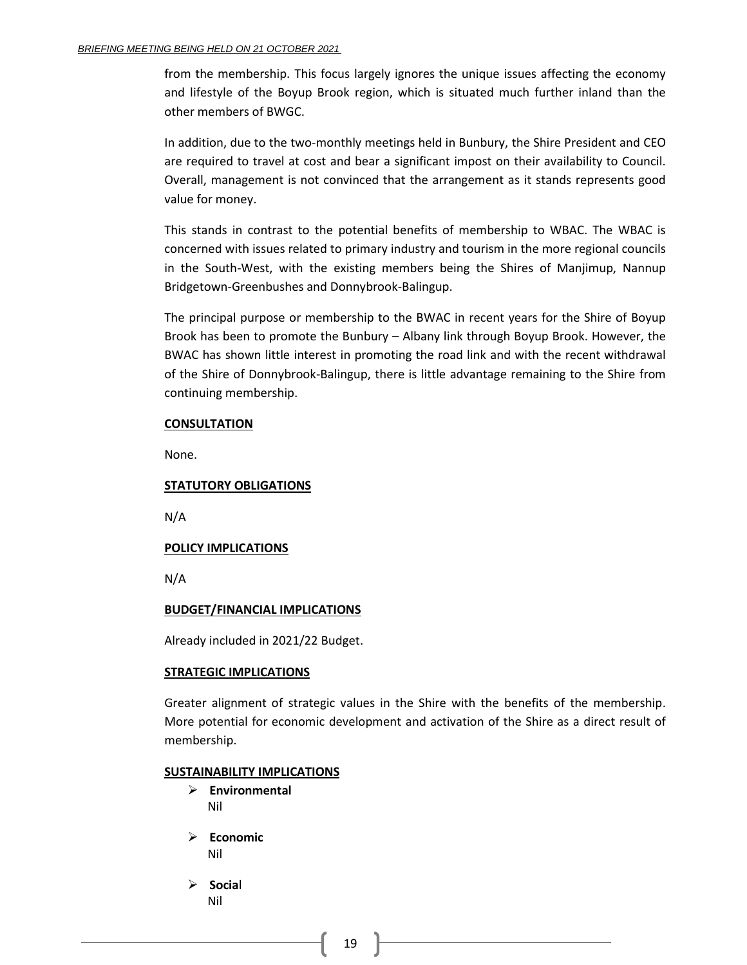from the membership. This focus largely ignores the unique issues affecting the economy and lifestyle of the Boyup Brook region, which is situated much further inland than the other members of BWGC.

In addition, due to the two-monthly meetings held in Bunbury, the Shire President and CEO are required to travel at cost and bear a significant impost on their availability to Council. Overall, management is not convinced that the arrangement as it stands represents good value for money.

This stands in contrast to the potential benefits of membership to WBAC. The WBAC is concerned with issues related to primary industry and tourism in the more regional councils in the South-West, with the existing members being the Shires of Manjimup, Nannup Bridgetown-Greenbushes and Donnybrook-Balingup.

The principal purpose or membership to the BWAC in recent years for the Shire of Boyup Brook has been to promote the Bunbury – Albany link through Boyup Brook. However, the BWAC has shown little interest in promoting the road link and with the recent withdrawal of the Shire of Donnybrook-Balingup, there is little advantage remaining to the Shire from continuing membership.

## **CONSULTATION**

None.

## **STATUTORY OBLIGATIONS**

N/A

## **POLICY IMPLICATIONS**

N/A

#### **BUDGET/FINANCIAL IMPLICATIONS**

Already included in 2021/22 Budget.

#### **STRATEGIC IMPLICATIONS**

Greater alignment of strategic values in the Shire with the benefits of the membership. More potential for economic development and activation of the Shire as a direct result of membership.

#### **SUSTAINABILITY IMPLICATIONS**

- ➢ **Environmental** Nil
- ➢ **Economic** Nil
- ➢ **Socia**l Nil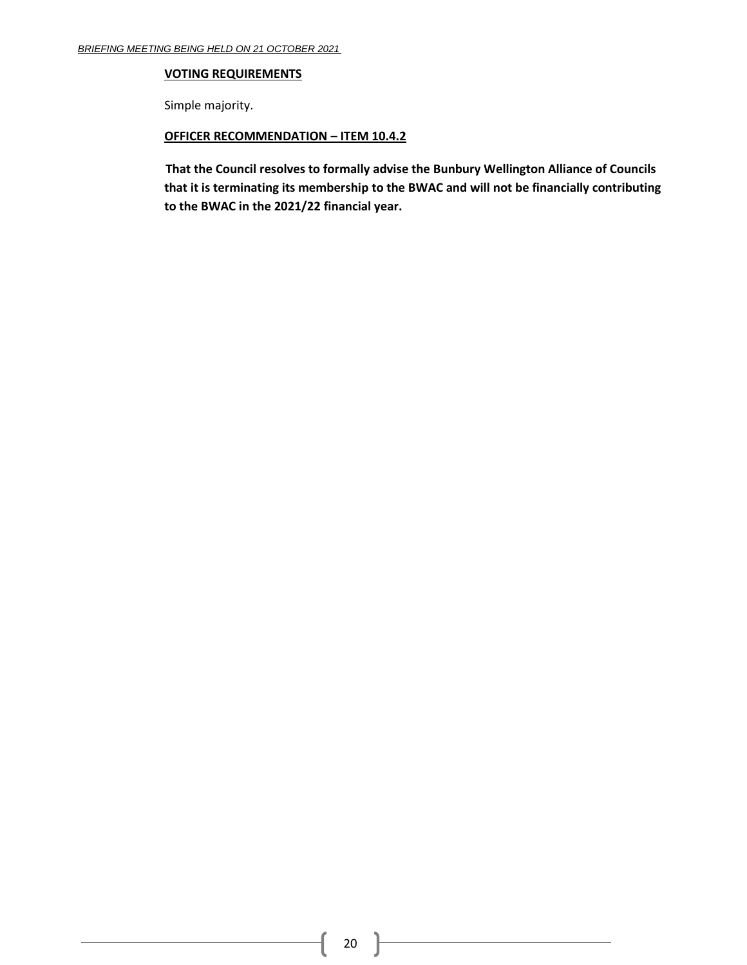#### **VOTING REQUIREMENTS**

Simple majority.

## **OFFICER RECOMMENDATION – ITEM 10.4.2**

**That the Council resolves to formally advise the Bunbury Wellington Alliance of Councils that it is terminating its membership to the BWAC and will not be financially contributing to the BWAC in the 2021/22 financial year.**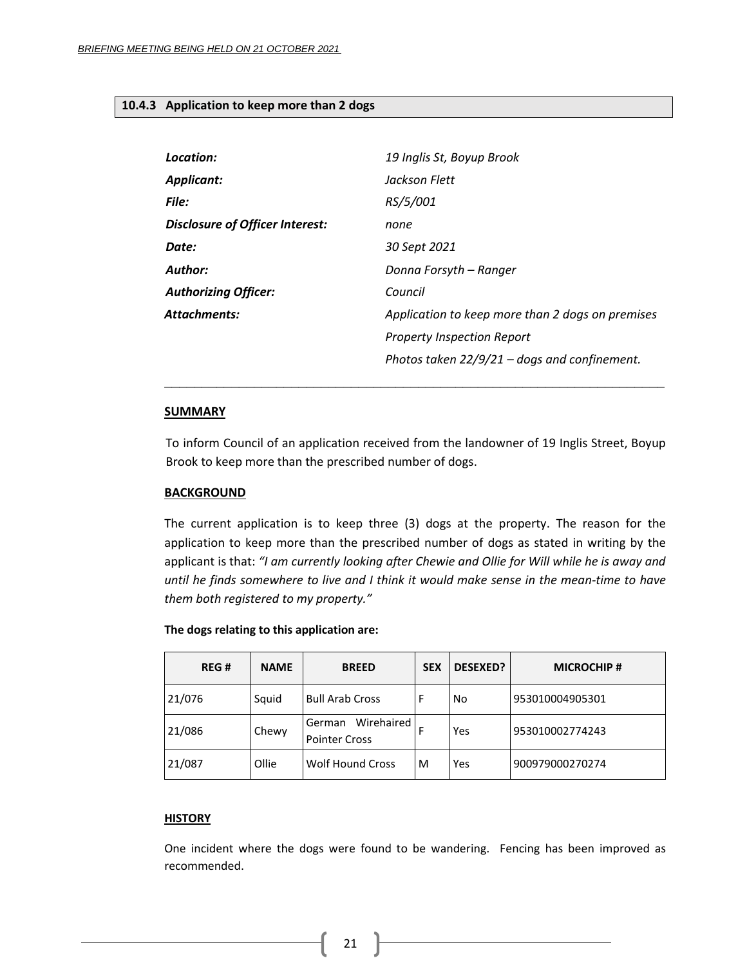#### <span id="page-20-0"></span>**10.4.3 Application to keep more than 2 dogs**

| Location:                       | 19 Inglis St, Boyup Brook                        |  |  |  |
|---------------------------------|--------------------------------------------------|--|--|--|
| <b>Applicant:</b>               | Jackson Flett                                    |  |  |  |
| File:                           | RS/5/001                                         |  |  |  |
| Disclosure of Officer Interest: | none                                             |  |  |  |
| Date:                           | 30 Sept 2021                                     |  |  |  |
| Author:                         | Donna Forsyth – Ranger                           |  |  |  |
| <b>Authorizing Officer:</b>     | Council                                          |  |  |  |
| <b>Attachments:</b>             | Application to keep more than 2 dogs on premises |  |  |  |
|                                 | <b>Property Inspection Report</b>                |  |  |  |
|                                 | Photos taken $22/9/21$ – dogs and confinement.   |  |  |  |

#### **SUMMARY**

To inform Council of an application received from the landowner of 19 Inglis Street, Boyup Brook to keep more than the prescribed number of dogs.

**\_\_\_\_\_\_\_\_\_\_\_\_\_\_\_\_\_\_\_\_\_\_\_\_\_\_\_\_\_\_\_\_\_\_\_\_\_\_\_\_\_\_\_\_\_\_\_\_\_\_\_\_\_\_\_\_\_\_\_\_\_\_\_\_\_\_\_**

## **BACKGROUND**

The current application is to keep three (3) dogs at the property. The reason for the application to keep more than the prescribed number of dogs as stated in writing by the applicant is that: *"I am currently looking after Chewie and Ollie for Will while he is away and until he finds somewhere to live and I think it would make sense in the mean-time to have them both registered to my property."*

| REG#   | <b>NAME</b> | <b>BREED</b>                                 | <b>SEX</b> | <b>DESEXED?</b> | <b>MICROCHIP#</b> |
|--------|-------------|----------------------------------------------|------------|-----------------|-------------------|
| 21/076 | Squid       | <b>Bull Arab Cross</b>                       | F          | No              | 953010004905301   |
| 21/086 | Chewy       | Wirehaired<br>German<br><b>Pointer Cross</b> | F          | Yes             | 953010002774243   |
| 21/087 | Ollie       | <b>Wolf Hound Cross</b>                      | M          | Yes             | 900979000270274   |

## **The dogs relating to this application are:**

## **HISTORY**

One incident where the dogs were found to be wandering. Fencing has been improved as recommended.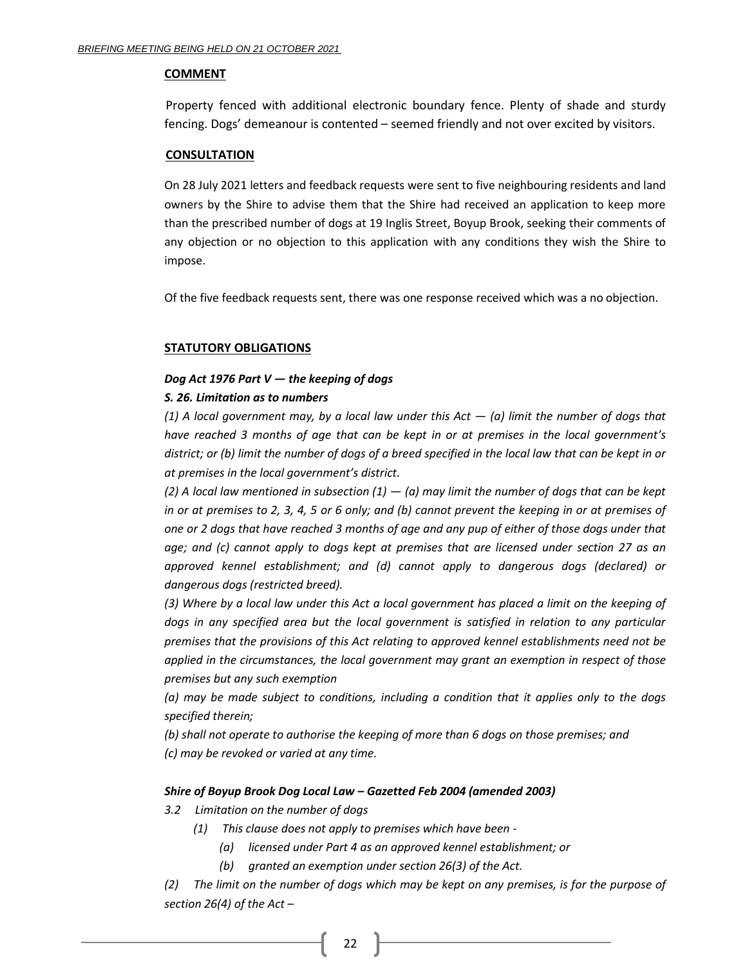#### **COMMENT**

Property fenced with additional electronic boundary fence. Plenty of shade and sturdy fencing. Dogs' demeanour is contented – seemed friendly and not over excited by visitors.

#### **CONSULTATION**

On 28 July 2021 letters and feedback requests were sent to five neighbouring residents and land owners by the Shire to advise them that the Shire had received an application to keep more than the prescribed number of dogs at 19 Inglis Street, Boyup Brook, seeking their comments of any objection or no objection to this application with any conditions they wish the Shire to impose.

Of the five feedback requests sent, there was one response received which was a no objection.

## **STATUTORY OBLIGATIONS**

## *Dog Act 1976 Part V — the keeping of dogs*

## *S. 26. Limitation as to numbers*

*(1) A local government may, by a local law under this Act — (a) limit the number of dogs that have reached 3 months of age that can be kept in or at premises in the local government's district; or (b) limit the number of dogs of a breed specified in the local law that can be kept in or at premises in the local government's district.*

 $(2)$  A local law mentioned in subsection  $(1) - (a)$  may limit the number of dogs that can be kept *in or at premises to 2, 3, 4, 5 or 6 only; and (b) cannot prevent the keeping in or at premises of one or 2 dogs that have reached 3 months of age and any pup of either of those dogs under that age; and (c) cannot apply to dogs kept at premises that are licensed under section 27 as an approved kennel establishment; and (d) cannot apply to dangerous dogs (declared) or dangerous dogs (restricted breed).* 

*(3) Where by a local law under this Act a local government has placed a limit on the keeping of dogs in any specified area but the local government is satisfied in relation to any particular premises that the provisions of this Act relating to approved kennel establishments need not be applied in the circumstances, the local government may grant an exemption in respect of those premises but any such exemption* 

*(a) may be made subject to conditions, including a condition that it applies only to the dogs specified therein;* 

*(b) shall not operate to authorise the keeping of more than 6 dogs on those premises; and (c) may be revoked or varied at any time.*

## *Shire of Boyup Brook Dog Local Law – Gazetted Feb 2004 (amended 2003)*

# *3.2 Limitation on the number of dogs*

- *(1) This clause does not apply to premises which have been -*
	- *(a) licensed under Part 4 as an approved kennel establishment; or*
	- *(b) granted an exemption under section 26(3) of the Act.*

*(2) The limit on the number of dogs which may be kept on any premises, is for the purpose of section 26(4) of the Act –*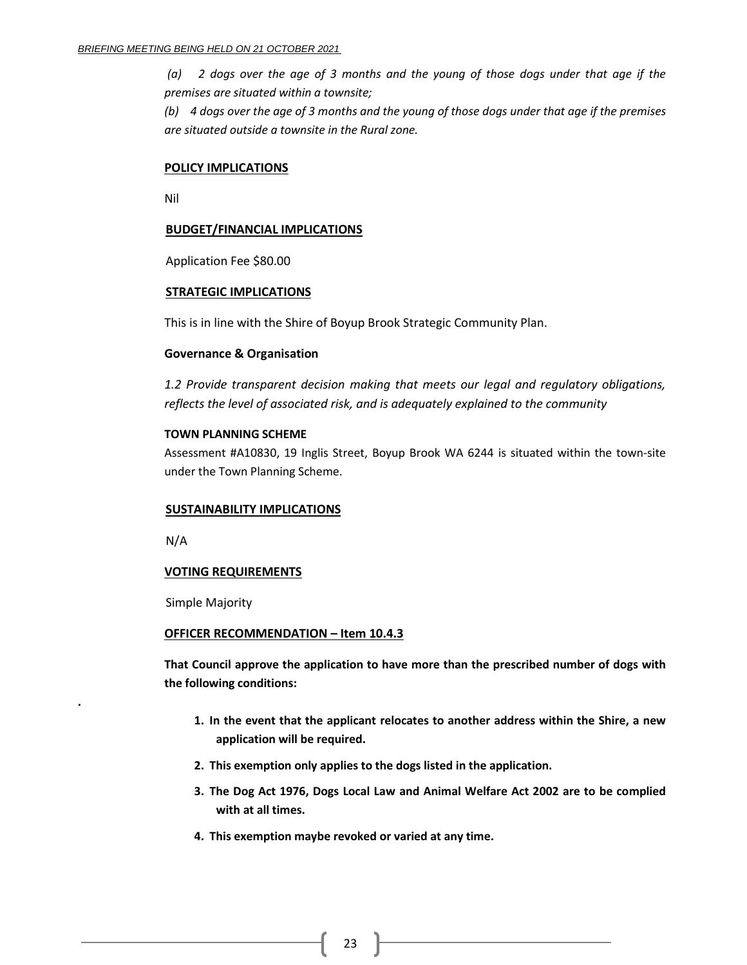*(a) 2 dogs over the age of 3 months and the young of those dogs under that age if the premises are situated within a townsite;*

*(b) 4 dogs over the age of 3 months and the young of those dogs under that age if the premises are situated outside a townsite in the Rural zone.*

#### **POLICY IMPLICATIONS**

Nil

#### **BUDGET/FINANCIAL IMPLICATIONS**

Application Fee \$80.00

#### **STRATEGIC IMPLICATIONS**

This is in line with the Shire of Boyup Brook Strategic Community Plan.

#### **Governance & Organisation**

*1.2 Provide transparent decision making that meets our legal and regulatory obligations, reflects the level of associated risk, and is adequately explained to the community*

#### **TOWN PLANNING SCHEME**

Assessment #A10830, 19 Inglis Street, Boyup Brook WA 6244 is situated within the town-site under the Town Planning Scheme.

#### **SUSTAINABILITY IMPLICATIONS**

N/A

**.**

## **VOTING REQUIREMENTS**

Simple Majority

#### **OFFICER RECOMMENDATION – Item 10.4.3**

**That Council approve the application to have more than the prescribed number of dogs with the following conditions:**

- **1. In the event that the applicant relocates to another address within the Shire, a new application will be required.**
- **2. This exemption only applies to the dogs listed in the application.**
- **3. The Dog Act 1976, Dogs Local Law and Animal Welfare Act 2002 are to be complied with at all times.**
- **4. This exemption maybe revoked or varied at any time.**